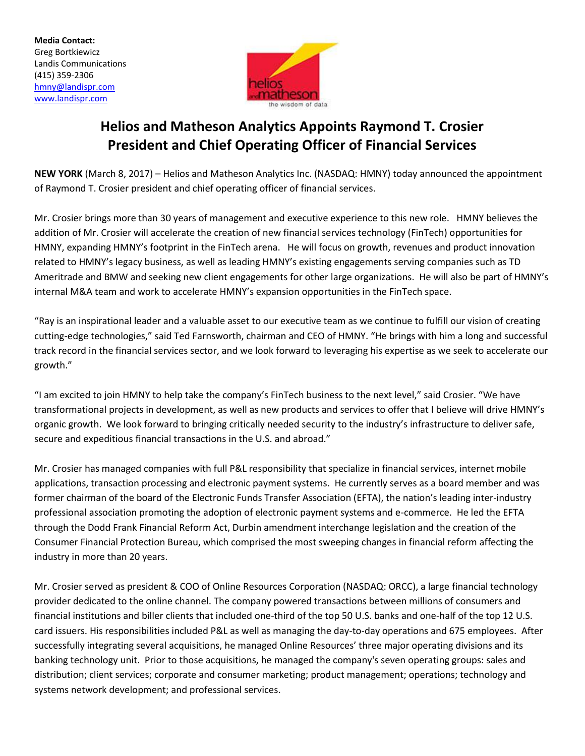**Media Contact:** Greg Bortkiewicz Landis Communications (415) 359-2306 [hmny@landispr.com](mailto:hmny@landispr.com) [www.landispr.com](http://www.landispr.com/)



# **Helios and Matheson Analytics Appoints Raymond T. Crosier President and Chief Operating Officer of Financial Services**

**NEW YORK** (March 8, 2017) – Helios and Matheson Analytics Inc. (NASDAQ: HMNY) today announced the appointment of Raymond T. Crosier president and chief operating officer of financial services.

Mr. Crosier brings more than 30 years of management and executive experience to this new role. HMNY believes the addition of Mr. Crosier will accelerate the creation of new financial services technology (FinTech) opportunities for HMNY, expanding HMNY's footprint in the FinTech arena. He will focus on growth, revenues and product innovation related to HMNY's legacy business, as well as leading HMNY's existing engagements serving companies such as TD Ameritrade and BMW and seeking new client engagements for other large organizations. He will also be part of HMNY's internal M&A team and work to accelerate HMNY's expansion opportunities in the FinTech space.

"Ray is an inspirational leader and a valuable asset to our executive team as we continue to fulfill our vision of creating cutting-edge technologies," said Ted Farnsworth, chairman and CEO of HMNY. "He brings with him a long and successful track record in the financial services sector, and we look forward to leveraging his expertise as we seek to accelerate our growth."

"I am excited to join HMNY to help take the company's FinTech business to the next level," said Crosier. "We have transformational projects in development, as well as new products and services to offer that I believe will drive HMNY's organic growth. We look forward to bringing critically needed security to the industry's infrastructure to deliver safe, secure and expeditious financial transactions in the U.S. and abroad."

Mr. Crosier has managed companies with full P&L responsibility that specialize in financial services, internet mobile applications, transaction processing and electronic payment systems. He currently serves as a board member and was former chairman of the board of the Electronic Funds Transfer Association (EFTA), the nation's leading inter-industry professional association promoting the adoption of electronic payment systems and e-commerce. He led the EFTA through the Dodd Frank Financial Reform Act, Durbin amendment interchange legislation and the creation of the Consumer Financial Protection Bureau, which comprised the most sweeping changes in financial reform affecting the industry in more than 20 years.

Mr. Crosier served as president & COO of Online Resources Corporation (NASDAQ: ORCC), a large financial technology provider dedicated to the online channel. The company powered transactions between millions of consumers and financial institutions and biller clients that included one-third of the top 50 U.S. banks and one-half of the top 12 U.S. card issuers. His responsibilities included P&L as well as managing the day-to-day operations and 675 employees. After successfully integrating several acquisitions, he managed Online Resources' three major operating divisions and its banking technology unit. Prior to those acquisitions, he managed the company's seven operating groups: sales and distribution; client services; corporate and consumer marketing; product management; operations; technology and systems network development; and professional services.